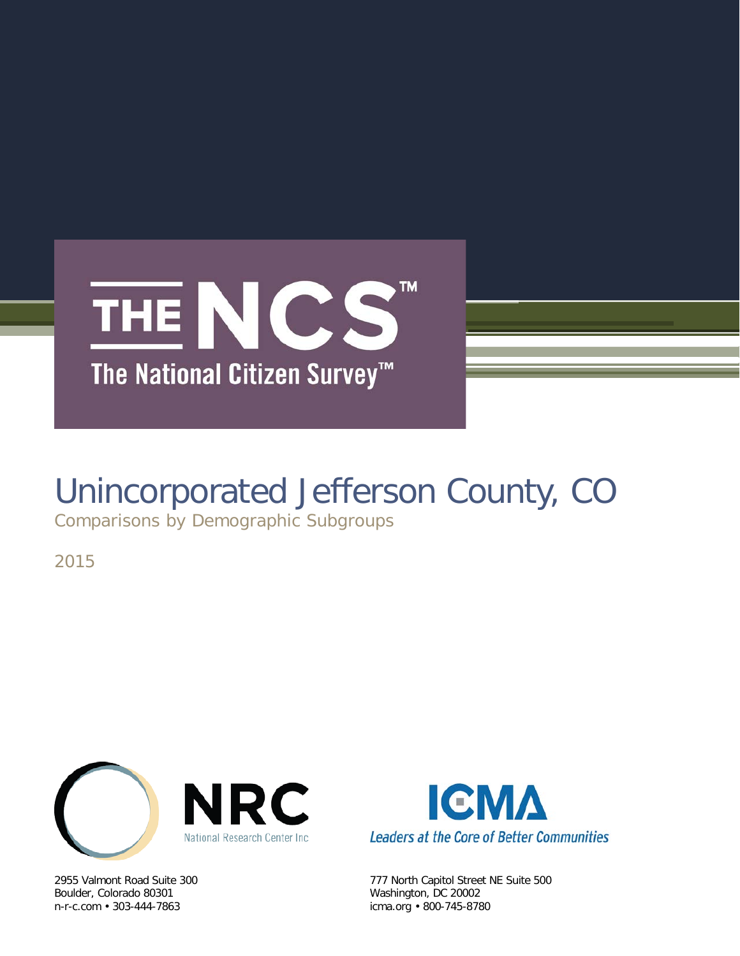

# Unincorporated Jefferson County, CO

Comparisons by Demographic Subgroups

2015



Boulder, Colorado 80301 Washington, DC 20002



2955 Valmont Road Suite 300 777 North Capitol Street NE Suite 500 icma.org • 800-745-8780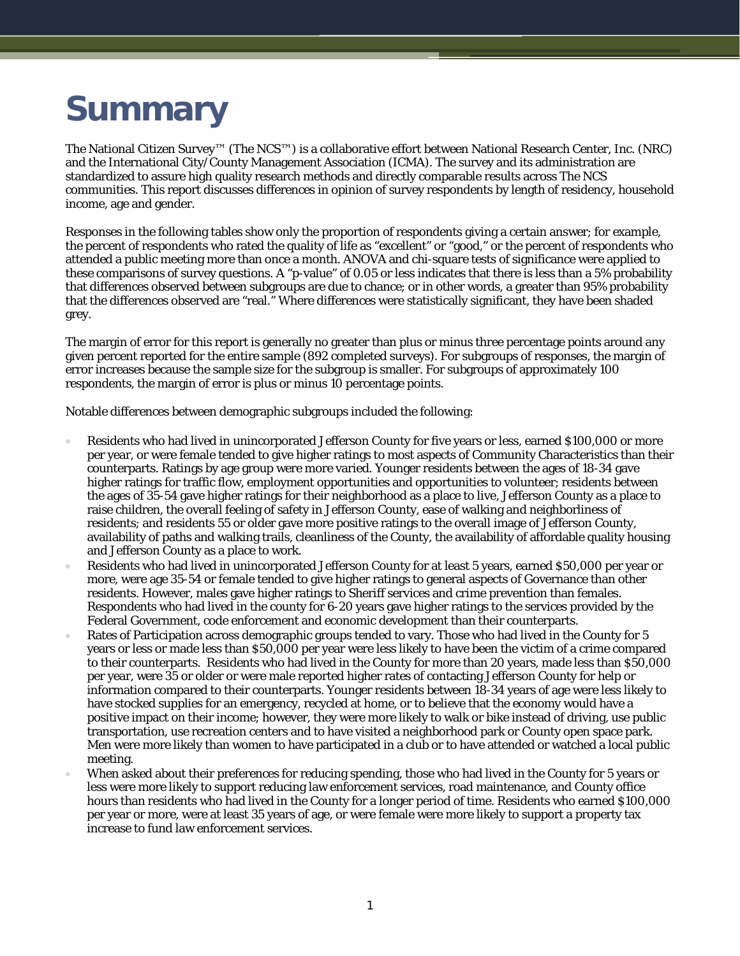# **Summary**

The National Citizen Survey™ (The NCS™) is a collaborative effort between National Research Center, Inc. (NRC) and the International City/County Management Association (ICMA). The survey and its administration are standardized to assure high quality research methods and directly comparable results across The NCS communities. This report discusses differences in opinion of survey respondents by length of residency, household income, age and gender.

Responses in the following tables show only the proportion of respondents giving a certain answer; for example, the percent of respondents who rated the quality of life as "excellent" or "good," or the percent of respondents who attended a public meeting more than once a month. ANOVA and chi-square tests of significance were applied to these comparisons of survey questions. A "p-value" of 0.05 or less indicates that there is less than a 5% probability that differences observed between subgroups are due to chance; or in other words, a greater than 95% probability that the differences observed are "real." Where differences were statistically significant, they have been shaded grey.

The margin of error for this report is generally no greater than plus or minus three percentage points around any given percent reported for the entire sample (892 completed surveys). For subgroups of responses, the margin of error increases because the sample size for the subgroup is smaller. For subgroups of approximately 100 respondents, the margin of error is plus or minus 10 percentage points.

Notable differences between demographic subgroups included the following:

- Residents who had lived in unincorporated Jefferson County for five years or less, earned \$100,000 or more per year, or were female tended to give higher ratings to most aspects of Community Characteristics than their counterparts. Ratings by age group were more varied. Younger residents between the ages of 18-34 gave higher ratings for traffic flow, employment opportunities and opportunities to volunteer; residents between the ages of 35-54 gave higher ratings for their neighborhood as a place to live, Jefferson County as a place to raise children, the overall feeling of safety in Jefferson County, ease of walking and neighborliness of residents; and residents 55 or older gave more positive ratings to the overall image of Jefferson County, availability of paths and walking trails, cleanliness of the County, the availability of affordable quality housing and Jefferson County as a place to work.
- Residents who had lived in unincorporated Jefferson County for at least 5 years, earned \$50,000 per year or more, were age 35-54 or female tended to give higher ratings to general aspects of Governance than other residents. However, males gave higher ratings to Sheriff services and crime prevention than females. Respondents who had lived in the county for 6-20 years gave higher ratings to the services provided by the Federal Government, code enforcement and economic development than their counterparts.
- Rates of Participation across demographic groups tended to vary. Those who had lived in the County for 5 years or less or made less than \$50,000 per year were less likely to have been the victim of a crime compared to their counterparts. Residents who had lived in the County for more than 20 years, made less than \$50,000 per year, were 35 or older or were male reported higher rates of contacting Jefferson County for help or information compared to their counterparts. Younger residents between 18-34 years of age were less likely to have stocked supplies for an emergency, recycled at home, or to believe that the economy would have a positive impact on their income; however, they were more likely to walk or bike instead of driving, use public transportation, use recreation centers and to have visited a neighborhood park or County open space park. Men were more likely than women to have participated in a club or to have attended or watched a local public meeting.
- When asked about their preferences for reducing spending, those who had lived in the County for 5 years or less were more likely to support reducing law enforcement services, road maintenance, and County office hours than residents who had lived in the County for a longer period of time. Residents who earned \$100,000 per year or more, were at least 35 years of age, or were female were more likely to support a property tax increase to fund law enforcement services.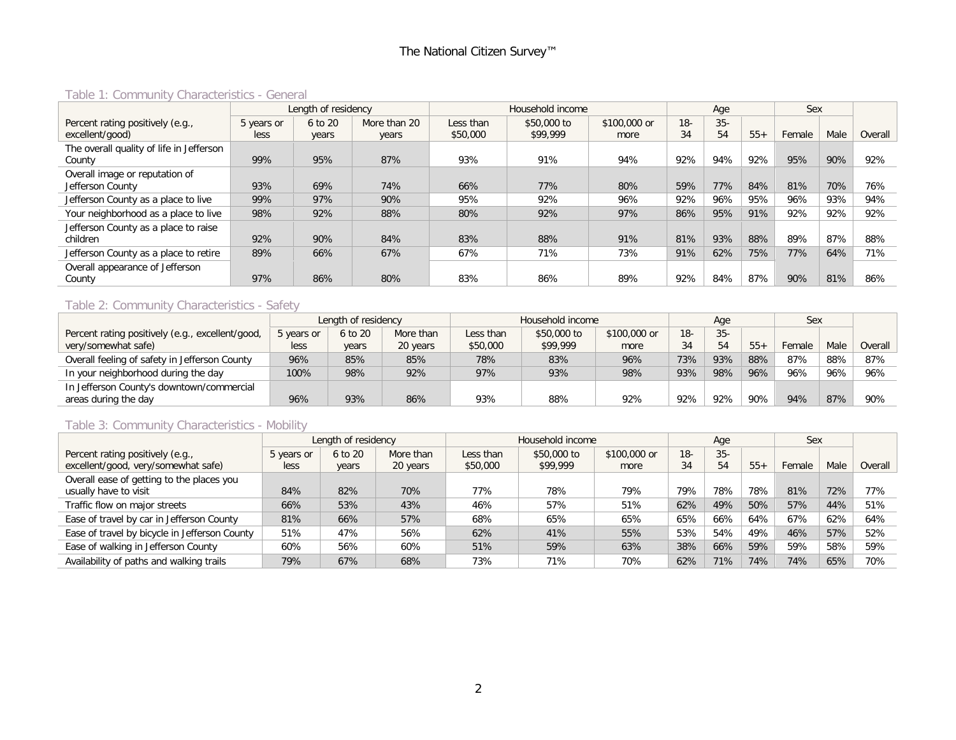## Table 1: Community Characteristics - General

|                                          |            | Length of residency |              |           | Household income |              |       | Age   |       | Sex    |      |         |
|------------------------------------------|------------|---------------------|--------------|-----------|------------------|--------------|-------|-------|-------|--------|------|---------|
| Percent rating positively (e.g.,         | 5 years or | 6 to 20             | More than 20 | Less than | \$50,000 to      | \$100,000 or | $18-$ | $35-$ |       |        |      |         |
| excellent/good)                          | less       | years               | years        | \$50,000  | \$99,999         | more         | 34    | 54    | $55+$ | Female | Male | Overall |
| The overall quality of life in Jefferson |            |                     |              |           |                  |              |       |       |       |        |      |         |
| County                                   | 99%        | 95%                 | 87%          | 93%       | 91%              | 94%          | 92%   | 94%   | 92%   | 95%    | 90%  | 92%     |
| Overall image or reputation of           |            |                     |              |           |                  |              |       |       |       |        |      |         |
| Jefferson County                         | 93%        | 69%                 | 74%          | 66%       | 77%              | 80%          | 59%   | 77%   | 84%   | 81%    | 70%  | 76%     |
| Jefferson County as a place to live      | 99%        | 97%                 | 90%          | 95%       | 92%              | 96%          | 92%   | 96%   | 95%   | 96%    | 93%  | 94%     |
| Your neighborhood as a place to live     | 98%        | 92%                 | 88%          | 80%       | 92%              | 97%          | 86%   | 95%   | 91%   | 92%    | 92%  | 92%     |
| Jefferson County as a place to raise     |            |                     |              |           |                  |              |       |       |       |        |      |         |
| children                                 | 92%        | 90%                 | 84%          | 83%       | 88%              | 91%          | 81%   | 93%   | 88%   | 89%    | 87%  | 88%     |
| Jefferson County as a place to retire    | 89%        | 66%                 | 67%          | 67%       | 71%              | 73%          | 91%   | 62%   | 75%   | 77%    | 64%  | 71%     |
| Overall appearance of Jefferson          |            |                     |              |           |                  |              |       |       |       |        |      |         |
| County                                   | 97%        | 86%                 | 80%          | 83%       | 86%              | 89%          | 92%   | 84%   | 87%   | 90%    | 81%  | 86%     |

## Table 2: Community Characteristics - Safety

|                                                  |            | Length of residency |           |           | Household income |              |       | Age    |       | <b>Sex</b> |      |         |
|--------------------------------------------------|------------|---------------------|-----------|-----------|------------------|--------------|-------|--------|-------|------------|------|---------|
| Percent rating positively (e.g., excellent/good, | 5 years or | 6 to 20             | More than | Less than | \$50,000 to      | \$100,000 or | $18-$ | $35 -$ |       |            |      |         |
| very/somewhat safe)                              | less       | years               | 20 years  | \$50,000  | \$99,999         | more         | 34    | 54     | $55+$ | Female     | Male | Overall |
| Overall feeling of safety in Jefferson County    | 96%        | 85%                 | 85%       | 78%       | 83%              | 96%          | 73%   | 93%    | 88%   | 87%        | 88%  | 87%     |
| In your neighborhood during the day              | 100%       | 98%                 | 92%       | 97%       | 93%              | 98%          | 93%   | 98%    | 96%   | 96%        | 96%  | 96%     |
| In Jefferson County's downtown/commercial        |            |                     |           |           |                  |              |       |        |       |            |      |         |
| areas during the day                             | 96%        | 93%                 | 86%       | 93%       | 88%              | 92%          | 92%   | 92%    | 90%   | 94%        | 87%  | 90%     |

## Table 3: Community Characteristics - Mobility

|                                               |            | Length of residency |           |           | Household income |              |       | Age    |       | Sex    |      |         |
|-----------------------------------------------|------------|---------------------|-----------|-----------|------------------|--------------|-------|--------|-------|--------|------|---------|
| Percent rating positively (e.g.,              | 5 years or | 6 to 20             | More than | Less than | \$50,000 to      | \$100,000 or | $18-$ | $35 -$ |       |        |      |         |
| excellent/good, very/somewhat safe)           | less       | years               | 20 years  | \$50,000  | \$99,999         | more         | 34    | 54     | $55+$ | Female | Male | Overall |
| Overall ease of getting to the places you     |            |                     |           |           |                  |              |       |        |       |        |      |         |
| usually have to visit                         | 84%        | 82%                 | 70%       | 77%       | 78%              | 79%          | 79%   | 78%    | 78%   | 81%    | 72%  | 77%     |
| Traffic flow on major streets                 | 66%        | 53%                 | 43%       | 46%       | 57%              | 51%          | 62%   | 49%    | 50%   | 57%    | 44%  | 51%     |
| Ease of travel by car in Jefferson County     | 81%        | 66%                 | 57%       | 68%       | 65%              | 65%          | 65%   | 66%    | 64%   | 67%    | 62%  | 64%     |
| Ease of travel by bicycle in Jefferson County | 51%        | 47%                 | 56%       | 62%       | 41%              | 55%          | 53%   | 54%    | 49%   | 46%    | 57%  | 52%     |
| Ease of walking in Jefferson County           | 60%        | 56%                 | 60%       | 51%       | 59%              | 63%          | 38%   | 66%    | 59%   | 59%    | 58%  | 59%     |
| Availability of paths and walking trails      | 79%        | 67%                 | 68%       | 73%       | 71%              | 70%          | 62%   | 71%    | 74%   | 74%    | 65%  | 70%     |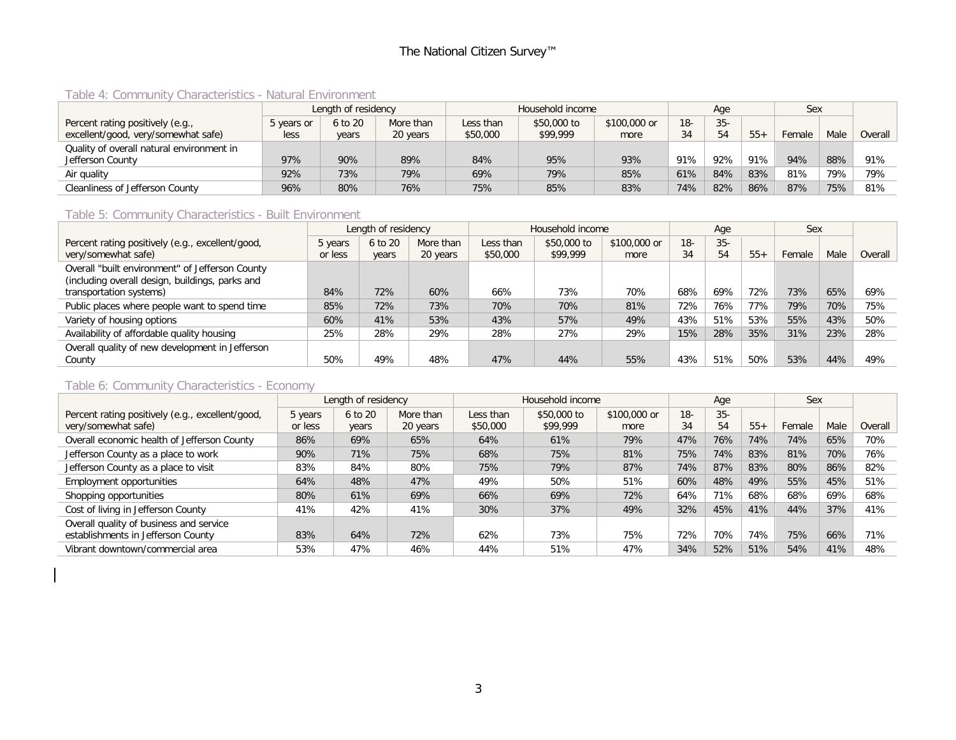## Table 4: Community Characteristics - Natural Environment

|                                           |            | Length of residency |           |           | Household income |              |        | Age    |       | <b>Sex</b> |      |         |
|-------------------------------------------|------------|---------------------|-----------|-----------|------------------|--------------|--------|--------|-------|------------|------|---------|
| Percent rating positively (e.g.,          | 5 years or | 6 to 20             | More than | Less than | \$50,000 to      | \$100,000 or | $18 -$ | $35 -$ |       |            |      |         |
| excellent/good, very/somewhat safe)       | less       | years               | 20 years  | \$50,000  | \$99,999         | more         | 7 ٦    | 54     | $55+$ | Female     | Male | Overall |
| Quality of overall natural environment in |            |                     |           |           |                  |              |        |        |       |            |      |         |
| Jefferson County                          | 97%        | 90%                 | 89%       | 84%       | 95%              | 93%          | 91%    | 92%    | 91%   | 94%        | 88%  | 91%     |
| Air quality                               | 92%        | 73%                 | 79%       | 69%       | 79%              | 85%          | 61%    | 84%    | 83%   | 81%        | 79%  | 79%     |
| Cleanliness of Jefferson County           | 96%        | 80%                 | 76%       | 75%       | 85%              | 83%          | 74%    | 82%    | 86%   | 87%        | 75%  | 81%     |

#### Table 5: Community Characteristics - Built Environment

|                                                  |              | Length of residency |           |           | Household income |              |       | Age    |       | Sex    |      |         |
|--------------------------------------------------|--------------|---------------------|-----------|-----------|------------------|--------------|-------|--------|-------|--------|------|---------|
| Percent rating positively (e.g., excellent/good, | 5 years      | 6 to 20             | More than | Less than | \$50,000 to      | \$100,000 or | $18-$ | $35 -$ |       |        |      |         |
| very/somewhat safe)                              | · less<br>or | years               | 20 years  | \$50,000  | \$99,999         | more         | 34    | 54     | $55+$ | Female | Male | Overall |
| Overall "built environment" of Jefferson County  |              |                     |           |           |                  |              |       |        |       |        |      |         |
| (including overall design, buildings, parks and  |              |                     |           |           |                  |              |       |        |       |        |      |         |
| transportation systems)                          | 84%          | 72%                 | 60%       | 66%       | 73%              | 70%          | 68%   | 69%    | 72%   | 73%    | 65%  | 69%     |
| Public places where people want to spend time    | 85%          | 72%                 | 73%       | 70%       | 70%              | 81%          | 72%   | 76%    | 77%   | 79%    | 70%  | 75%     |
| Variety of housing options                       | 60%          | 41%                 | 53%       | 43%       | 57%              | 49%          | 43%   | 51%    | 53%   | 55%    | 43%  | 50%     |
| Availability of affordable quality housing       | 25%          | 28%                 | 29%       | 28%       | 27%              | 29%          | 15%   | 28%    | 35%   | 31%    | 23%  | 28%     |
| Overall quality of new development in Jefferson  |              |                     |           |           |                  |              |       |        |       |        |      |         |
| County                                           | 50%          | 49%                 | 48%       | 47%       | 44%              | 55%          | 43%   | 51%    | 50%   | 53%    | 44%  | 49%     |

#### Table 6: Community Characteristics - Economy

|                                                  |         | Length of residency |           |           | Household income |              |       | Age    |       | Sex    |      |         |
|--------------------------------------------------|---------|---------------------|-----------|-----------|------------------|--------------|-------|--------|-------|--------|------|---------|
| Percent rating positively (e.g., excellent/good, | 5 years | 6 to 20             | More than | Less than | \$50,000 to      | \$100,000 or | $18-$ | $35 -$ |       |        |      |         |
| very/somewhat safe)                              | or less | years               | 20 years  | \$50,000  | \$99,999         | more         | 34    | 54     | $55+$ | Female | Male | Overall |
| Overall economic health of Jefferson County      | 86%     | 69%                 | 65%       | 64%       | 61%              | 79%          | 47%   | 76%    | 74%   | 74%    | 65%  | 70%     |
| Jefferson County as a place to work              | 90%     | 71%                 | 75%       | 68%       | 75%              | 81%          | 75%   | 74%    | 83%   | 81%    | 70%  | 76%     |
| Jefferson County as a place to visit             | 83%     | 84%                 | 80%       | 75%       | 79%              | 87%          | 74%   | 87%    | 83%   | 80%    | 86%  | 82%     |
| Employment opportunities                         | 64%     | 48%                 | 47%       | 49%       | 50%              | 51%          | 60%   | 48%    | 49%   | 55%    | 45%  | 51%     |
| Shopping opportunities                           | 80%     | 61%                 | 69%       | 66%       | 69%              | 72%          | 64%   | 71%    | 68%   | 68%    | 69%  | 68%     |
| Cost of living in Jefferson County               | 41%     | 42%                 | 41%       | 30%       | 37%              | 49%          | 32%   | 45%    | 41%   | 44%    | 37%  | 41%     |
| Overall quality of business and service          |         |                     |           |           |                  |              |       |        |       |        |      |         |
| establishments in Jefferson County               | 83%     | 64%                 | 72%       | 62%       | 73%              | 75%          | 72%   | 70%    | 74%   | 75%    | 66%  | 71%     |
| Vibrant downtown/commercial area                 | 53%     | 47%                 | 46%       | 44%       | 51%              | 47%          | 34%   | 52%    | 51%   | 54%    | 41%  | 48%     |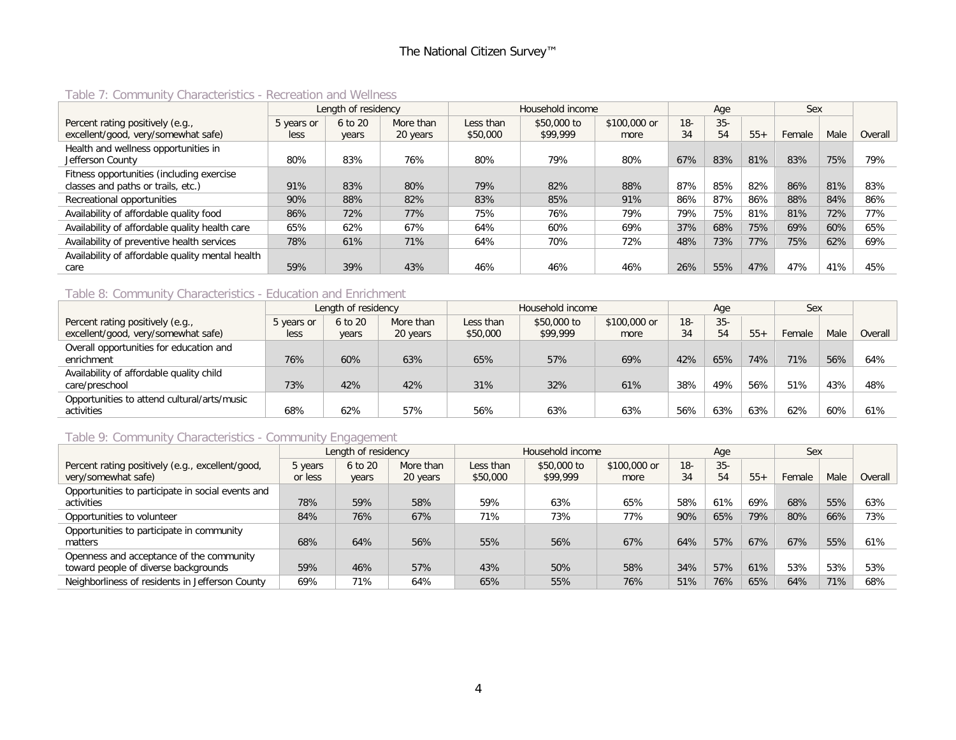|                                                  |            | Length of residency |           |           | Household income |              |       | Aae    |       | Sex    |      |         |
|--------------------------------------------------|------------|---------------------|-----------|-----------|------------------|--------------|-------|--------|-------|--------|------|---------|
| Percent rating positively (e.g.,                 | 5 years or | 6 to 20             | More than | Less than | \$50,000 to      | \$100,000 or | $18-$ | $35 -$ |       |        |      |         |
| excellent/good, very/somewhat safe)              | less       | years               | 20 years  | \$50,000  | \$99,999         | more         | 34    | 54     | $55+$ | Female | Male | Overall |
| Health and wellness opportunities in             |            |                     |           |           |                  |              |       |        |       |        |      |         |
| Jefferson County                                 | 80%        | 83%                 | 76%       | 80%       | 79%              | 80%          | 67%   | 83%    | 81%   | 83%    | 75%  | 79%     |
| Fitness opportunities (including exercise        |            |                     |           |           |                  |              |       |        |       |        |      |         |
| classes and paths or trails, etc.)               | 91%        | 83%                 | 80%       | 79%       | 82%              | 88%          | 87%   | 85%    | 82%   | 86%    | 81%  | 83%     |
| Recreational opportunities                       | 90%        | 88%                 | 82%       | 83%       | 85%              | 91%          | 86%   | 87%    | 86%   | 88%    | 84%  | 86%     |
| Availability of affordable quality food          | 86%        | 72%                 | 77%       | 75%       | 76%              | 79%          | 79%   | 75%    | 81%   | 81%    | 72%  | 77%     |
| Availability of affordable quality health care   | 65%        | 62%                 | 67%       | 64%       | 60%              | 69%          | 37%   | 68%    | 75%   | 69%    | 60%  | 65%     |
| Availability of preventive health services       | 78%        | 61%                 | 71%       | 64%       | 70%              | 72%          | 48%   | 73%    | 77%   | 75%    | 62%  | 69%     |
| Availability of affordable quality mental health |            |                     |           |           |                  |              |       |        |       |        |      |         |
| care                                             | 59%        | 39%                 | 43%       | 46%       | 46%              | 46%          | 26%   | 55%    | 47%   | 47%    | 41%  | 45%     |

#### Table 7: Community Characteristics - Recreation and Wellness

#### Table 8: Community Characteristics - Education and Enrichment

|                                             |            | Length of residency |           |           | Household income |              |        | Age    |       | Sex    |      |         |
|---------------------------------------------|------------|---------------------|-----------|-----------|------------------|--------------|--------|--------|-------|--------|------|---------|
| Percent rating positively (e.g.,            | 5 years or | 6 to 20             | More than | Less than | \$50,000 to      | \$100,000 or | $18 -$ | $35 -$ |       |        |      |         |
| excellent/good, very/somewhat safe)         | less       | years               | 20 years  | \$50,000  | \$99,999         | more         | 34     | 54     | $55+$ | Female | Male | Overall |
| Overall opportunities for education and     |            |                     |           |           |                  |              |        |        |       |        |      |         |
| enrichment                                  | 76%        | 60%                 | 63%       | 65%       | 57%              | 69%          | 42%    | 65%    | 74%   | 71%    | 56%  | 64%     |
| Availability of affordable quality child    |            |                     |           |           |                  |              |        |        |       |        |      |         |
| care/preschool                              | 73%        | 42%                 | 42%       | 31%       | 32%              | 61%          | 38%    | 49%    | 56%   | 51%    | 43%  | 48%     |
| Opportunities to attend cultural/arts/music |            |                     |           |           |                  |              |        |        |       |        |      |         |
| activities                                  | 68%        | 62%                 | 57%       | 56%       | 63%              | 63%          | 56%    | 63%    | 63%   | 62%    | 60%  | 61%     |

## Table 9: Community Characteristics - Community Engagement

|                                                   |         | Length of residency |           |           | Household income |              |        | Age    |       | Sex    |      |         |
|---------------------------------------------------|---------|---------------------|-----------|-----------|------------------|--------------|--------|--------|-------|--------|------|---------|
| Percent rating positively (e.g., excellent/good,  | 5 years | 6 to 20             | More than | Less than | \$50,000 to      | \$100,000 or | $18 -$ | $35 -$ |       |        |      |         |
| very/somewhat safe)                               | or less | years               | 20 years  | \$50,000  | \$99,999         | more         | 34     | 54     | $55+$ | Female | Male | Overall |
| Opportunities to participate in social events and |         |                     |           |           |                  |              |        |        |       |        |      |         |
| activities                                        | 78%     | 59%                 | 58%       | 59%       | 63%              | 65%          | 58%    | 61%    | 69%   | 68%    | 55%  | 63%     |
| Opportunities to volunteer                        | 84%     | 76%                 | 67%       | 71%       | 73%              | 77%          | 90%    | 65%    | 79%   | 80%    | 66%  | 73%     |
| Opportunities to participate in community         |         |                     |           |           |                  |              |        |        |       |        |      |         |
| matters                                           | 68%     | 64%                 | 56%       | 55%       | 56%              | 67%          | 64%    | 57%    | 67%   | 67%    | 55%  | 61%     |
| Openness and acceptance of the community          |         |                     |           |           |                  |              |        |        |       |        |      |         |
| toward people of diverse backgrounds              | 59%     | 46%                 | 57%       | 43%       | 50%              | 58%          | 34%    | 57%    | 61%   | 53%    | 53%  | 53%     |
| Neighborliness of residents in Jefferson County   | 69%     | 71%                 | 64%       | 65%       | 55%              | 76%          | 51%    | 76%    | 65%   | 64%    | 71%  | 68%     |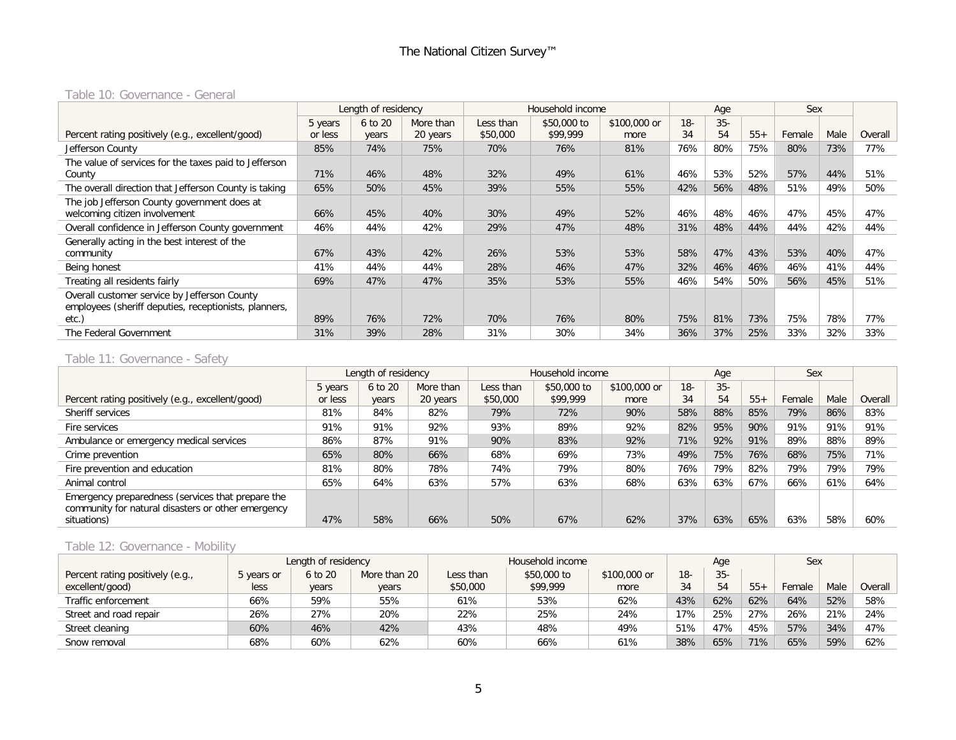#### Table 10: Governance - General

|                                                       |         | Length of residency |           |           | Household income |              |       | Age    |       | Sex    |      |         |
|-------------------------------------------------------|---------|---------------------|-----------|-----------|------------------|--------------|-------|--------|-------|--------|------|---------|
|                                                       | 5 years | 6 to 20             | More than | Less than | \$50,000 to      | \$100,000 or | $18-$ | $35 -$ |       |        |      |         |
| Percent rating positively (e.g., excellent/good)      | or less | years               | 20 years  | \$50,000  | \$99,999         | more         | 34    | 54     | $55+$ | Female | Male | Overall |
| Jefferson County                                      | 85%     | 74%                 | 75%       | 70%       | 76%              | 81%          | 76%   | 80%    | 75%   | 80%    | 73%  | 77%     |
| The value of services for the taxes paid to Jefferson |         |                     |           |           |                  |              |       |        |       |        |      |         |
| County                                                | 71%     | 46%                 | 48%       | 32%       | 49%              | 61%          | 46%   | 53%    | 52%   | 57%    | 44%  | 51%     |
| The overall direction that Jefferson County is taking | 65%     | 50%                 | 45%       | 39%       | 55%              | 55%          | 42%   | 56%    | 48%   | 51%    | 49%  | 50%     |
| The job Jefferson County government does at           |         |                     |           |           |                  |              |       |        |       |        |      |         |
| welcoming citizen involvement                         | 66%     | 45%                 | 40%       | 30%       | 49%              | 52%          | 46%   | 48%    | 46%   | 47%    | 45%  | 47%     |
| Overall confidence in Jefferson County government     | 46%     | 44%                 | 42%       | 29%       | 47%              | 48%          | 31%   | 48%    | 44%   | 44%    | 42%  | 44%     |
| Generally acting in the best interest of the          |         |                     |           |           |                  |              |       |        |       |        |      |         |
| community                                             | 67%     | 43%                 | 42%       | 26%       | 53%              | 53%          | 58%   | 47%    | 43%   | 53%    | 40%  | 47%     |
| Being honest                                          | 41%     | 44%                 | 44%       | 28%       | 46%              | 47%          | 32%   | 46%    | 46%   | 46%    | 41%  | 44%     |
| Treating all residents fairly                         | 69%     | 47%                 | 47%       | 35%       | 53%              | 55%          | 46%   | 54%    | 50%   | 56%    | 45%  | 51%     |
| Overall customer service by Jefferson County          |         |                     |           |           |                  |              |       |        |       |        |      |         |
| employees (sheriff deputies, receptionists, planners, |         |                     |           |           |                  |              |       |        |       |        |      |         |
| etc.)                                                 | 89%     | 76%                 | 72%       | 70%       | 76%              | 80%          | 75%   | 81%    | 73%   | 75%    | 78%  | 77%     |
| The Federal Government                                | 31%     | 39%                 | 28%       | 31%       | 30%              | 34%          | 36%   | 37%    | 25%   | 33%    | 32%  | 33%     |

# Table 11: Governance - Safety

|                                                    |         | Length of residency |           |           | Household income |              |       | Age    |       | Sex    |      |         |
|----------------------------------------------------|---------|---------------------|-----------|-----------|------------------|--------------|-------|--------|-------|--------|------|---------|
|                                                    | 5 years | 6 to 20             | More than | Less than | \$50,000 to      | \$100,000 or | $18-$ | $35 -$ |       |        |      |         |
| Percent rating positively (e.g., excellent/good)   | or less | years               | 20 years  | \$50,000  | \$99,999         | more         | 34    | 54     | $55+$ | Female | Male | Overall |
| Sheriff services                                   | 81%     | 84%                 | 82%       | 79%       | 72%              | 90%          | 58%   | 88%    | 85%   | 79%    | 86%  | 83%     |
| Fire services                                      | 91%     | 91%                 | 92%       | 93%       | 89%              | 92%          | 82%   | 95%    | 90%   | 91%    | 91%  | 91%     |
| Ambulance or emergency medical services            | 86%     | 87%                 | 91%       | 90%       | 83%              | 92%          | 71%   | 92%    | 91%   | 89%    | 88%  | 89%     |
| Crime prevention                                   | 65%     | 80%                 | 66%       | 68%       | 69%              | 73%          | 49%   | 75%    | 76%   | 68%    | 75%  | 71%     |
| Fire prevention and education                      | 81%     | 80%                 | 78%       | 74%       | 79%              | 80%          | 76%   | 79%    | 82%   | 79%    | 79%  | 79%     |
| Animal control                                     | 65%     | 64%                 | 63%       | 57%       | 63%              | 68%          | 63%   | 63%    | 67%   | 66%    | 61%  | 64%     |
| Emergency preparedness (services that prepare the  |         |                     |           |           |                  |              |       |        |       |        |      |         |
| community for natural disasters or other emergency |         |                     |           |           |                  |              |       |        |       |        |      |         |
| situations)                                        | 47%     | 58%                 | 66%       | 50%       | 67%              | 62%          | 37%   | 63%    | 65%   | 63%    | 58%  | 60%     |

# Table 12: Governance - Mobility

|                                  |            | Length of residency |              |           | Household income |              |        | Age    |       | Sex    |      |         |
|----------------------------------|------------|---------------------|--------------|-----------|------------------|--------------|--------|--------|-------|--------|------|---------|
| Percent rating positively (e.g., | 5 years or | 6 to 20             | More than 20 | Less than | \$50,000 to      | \$100,000 or | $18 -$ | $35 -$ |       |        |      |         |
| excellent/good)                  | less       | years               | years        | \$50,000  | \$99,999         | more         | 34     | 54     | $55+$ | Female | Male | Overall |
| Traffic enforcement              | 66%        | 59%                 | 55%          | 61%       | 53%              | 62%          | 43%    | 62%    | 62%   | 64%    | 52%  | 58%     |
| Street and road repair           | 26%        | 27%                 | 20%          | 22%       | 25%              | 24%          | 17%    | 25%    | 27%   | 26%    | 21%  | 24%     |
| Street cleaning                  | 60%        | 46%                 | 42%          | 43%       | 48%              | 49%          | 51%    | 47%    | 45%   | 57%    | 34%  | 47%     |
| Snow removal                     | 68%        | 60%                 | 62%          | 60%       | 66%              | 61%          | 38%    | 65%    | 71%   | 65%    | 59%  | 62%     |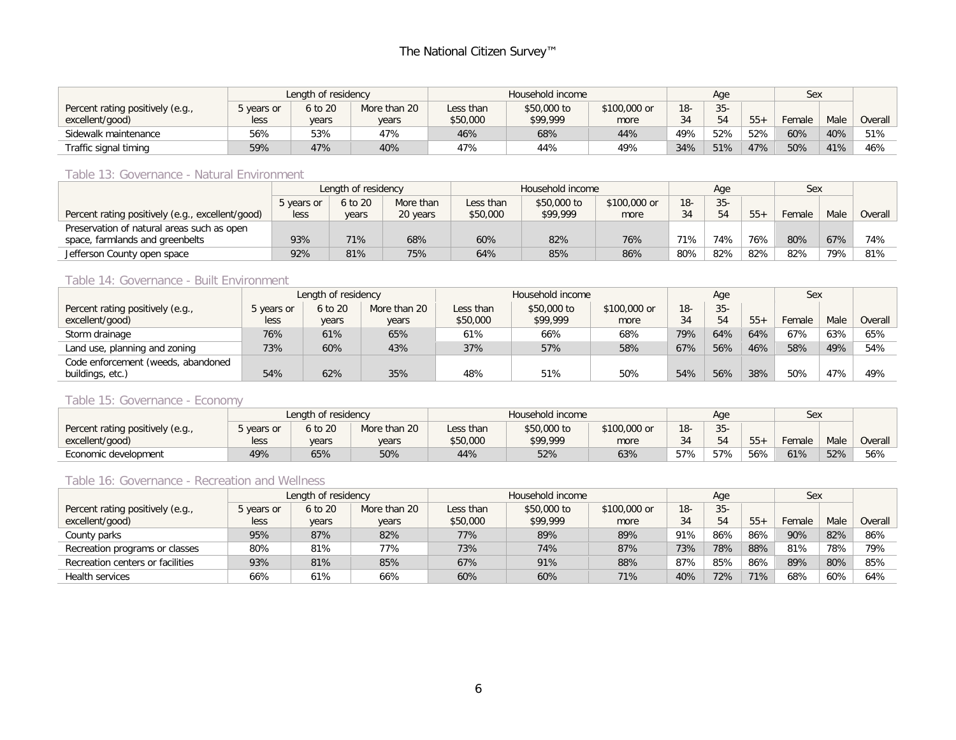|                                  |          | Length of residency |              |           | Household income |              |        | Age    |        | Sex    |      |         |
|----------------------------------|----------|---------------------|--------------|-----------|------------------|--------------|--------|--------|--------|--------|------|---------|
| Percent rating positively (e.g., | vears or | 6 to 20             | More than 20 | Less than | \$50,000 to      | \$100,000 or | $18 -$ | $35 -$ |        |        |      |         |
| excellent/good)                  | less     | years               | years        | \$50,000  | \$99,999         | more         | ົາ 1   | 54     | $55 -$ | Female | Male | Overall |
| Sidewalk maintenance             | 56%      | 53%                 | 47%          | 46%       | 68%              | 44%          | 49%    | 52%    | 52%    | 60%    | 40%  | 51%     |
| Traffic signal timing            | 59%      | 47%                 | 40%          | 47%       | 44%              | 49%          | 34%    | 51%    | 47%    | 50%    | 41%  | 46%     |

#### Table 13: Governance - Natural Environment

|                                                  |            | Length of residency |           |           | Household income |              |       | Age    |       | Sex    |      |         |
|--------------------------------------------------|------------|---------------------|-----------|-----------|------------------|--------------|-------|--------|-------|--------|------|---------|
|                                                  | 5 years or | 6 to 20             | More than | Less than | \$50,000 to      | \$100,000 or | $18-$ | $35 -$ |       |        |      |         |
| Percent rating positively (e.g., excellent/good) | less       | years               | 20 years  | \$50,000  | \$99,999         | more         | 34    | 54     | $55+$ | Female | Male | Overall |
| Preservation of natural areas such as open       |            |                     |           |           |                  |              |       |        |       |        |      |         |
| space, farmlands and greenbelts                  | 93%        | 71%                 | 68%       | 60%       | 82%              | 76%          | 71%   | 74%    | 76%   | 80%    | 67%  | 74%     |
| Jefferson County open space                      | 92%        | 81%                 | 75%       | 64%       | 85%              | 86%          | 80%   | 82%    | 82%   | 82%    | 79%  | 81%     |

#### Table 14: Governance - Built Environment

|                                    |            | Length of residency     |       |           | Household income |              |        | Aae    |       | Sex    |      |         |
|------------------------------------|------------|-------------------------|-------|-----------|------------------|--------------|--------|--------|-------|--------|------|---------|
| Percent rating positively (e.g.,   | 5 years or | 6 to 20<br>More than 20 |       | Less than | \$50,000 to      | \$100,000 or | $18 -$ | $35 -$ |       |        |      |         |
| excellent/good)                    | less       | years                   | years | \$50,000  | \$99,999         | more         | 34     | 54     | $55+$ | Female | Male | Overall |
| Storm drainage                     | 76%        | 61%                     | 65%   | 61%       | 66%              | 68%          | 79%    | 64%    | 64%   | 67%    | 63%  | 65%     |
| Land use, planning and zoning      | 73%        | 60%                     | 43%   | 37%       | 57%              | 58%          | 67%    | 56%    | 46%   | 58%    | 49%  | 54%     |
| Code enforcement (weeds, abandoned |            |                         |       |           |                  |              |        |        |       |        |      |         |
| buildings, etc.)                   | 54%        | 62%                     | 35%   | 48%       | 51%              | 50%          | 54%    | 56%    | 38%   | 50%    | 47%  | 49%     |

#### Table 15: Governance - Economy

|                                  |            | Length of residency |              |           | Household income |              |        | Aqe          |        | <b>Sex</b> |      |         |
|----------------------------------|------------|---------------------|--------------|-----------|------------------|--------------|--------|--------------|--------|------------|------|---------|
| Percent rating positively (e.g., | 5 years or | 6 to 20             | More than 20 | Less than | \$50,000 to      | \$100,000 or | $18 -$ | $35 -$<br>ບບ |        |            |      |         |
| excellent/good)                  | less       | years               | years        | \$50,000  | \$99,999         | more         | -34    |              | $55 +$ | Female     | Male | Overall |
| Economic development             | 49%        | 65%                 | 50%          | 44%       | 52%              | 63%          | 57%    | 57%          | 56%    | 61%        | 52%  | 56%     |

#### Table 16: Governance - Recreation and Wellness

|                                  |            | Length of residency |              |           | Household income |              |       | Age    |       | Sex    |      |         |
|----------------------------------|------------|---------------------|--------------|-----------|------------------|--------------|-------|--------|-------|--------|------|---------|
| Percent rating positively (e.g., | 5 years or | 6 to 20             | More than 20 | Less than | \$50,000 to      | \$100,000 or | $18-$ | $35 -$ |       |        |      |         |
| excellent/good)                  | less       | years               | years        | \$50,000  | \$99,999         | more         | 34    | 54     | $55+$ | Female | Male | Overall |
| County parks                     | 95%        | 87%                 | 82%          | 77%       | 89%              | 89%          | 91%   | 86%    | 86%   | 90%    | 82%  | 86%     |
| Recreation programs or classes   | 80%        | 81%                 | 77%          | 73%       | 74%              | 87%          | 73%   | 78%    | 88%   | 81%    | 78%  | 79%     |
| Recreation centers or facilities | 93%        | 81%                 | 85%          | 67%       | 91%              | 88%          | 87%   | 85%    | 86%   | 89%    | 80%  | 85%     |
| Health services                  | 66%        | 61%                 | 66%          | 60%       | 60%              | 71%          | 40%   | 72%    | 71%   | 68%    | 60%  | 64%     |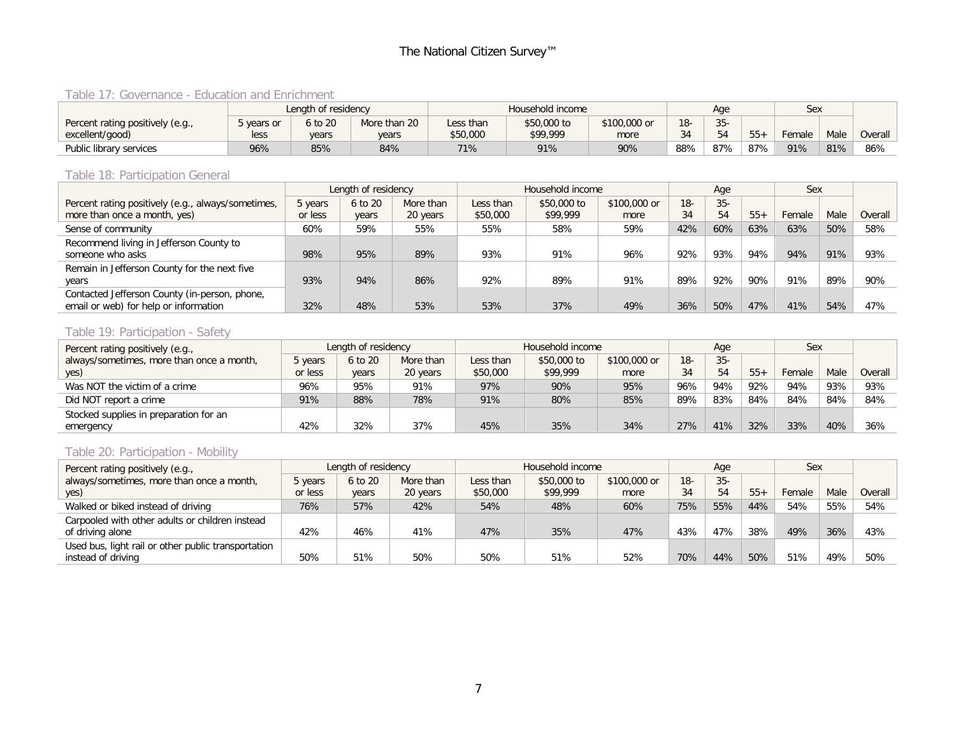### Table 17: Governance - Education and Enrichment

|                                  |            | Length of residency |              |           | Household income |              |        | Age    |        | Sex    |      |         |
|----------------------------------|------------|---------------------|--------------|-----------|------------------|--------------|--------|--------|--------|--------|------|---------|
| Percent rating positively (e.g., | 5 years or | 6 to 20             | More than 20 | Less than | \$50,000 to      | \$100,000 or | $18 -$ | $35 -$ |        |        |      |         |
| excellent/good)                  | less       | years               | years        | \$50,000  | \$99,999         | more         | 34     | 54     | $55 +$ | Female | Male | Overall |
| Public library services          | 96%        | 85%                 | 84%          | 71%       | 91%              | 90%          | 88%    | 87%    | 87%    | 91%    | 81%  | 86%     |

#### Table 18: Participation General

|                                                    |         | Length of residency |           |           | Household income |              |       | Age    |       | Sex    |      |         |
|----------------------------------------------------|---------|---------------------|-----------|-----------|------------------|--------------|-------|--------|-------|--------|------|---------|
| Percent rating positively (e.g., always/sometimes, | 5 years | 6 to 20             | More than | Less than | \$50,000 to      | \$100,000 or | $18-$ | $35 -$ |       |        |      |         |
| more than once a month, yes)                       | or less | years               | 20 years  | \$50,000  | \$99,999         | more         | 34    | 54     | $55+$ | Female | Male | Overall |
| Sense of community                                 | 60%     | 59%                 | 55%       | 55%       | 58%              | 59%          | 42%   | 60%    | 63%   | 63%    | 50%  | 58%     |
| Recommend living in Jefferson County to            |         |                     |           |           |                  |              |       |        |       |        |      |         |
| someone who asks                                   | 98%     | 95%                 | 89%       | 93%       | 91%              | 96%          | 92%   | 93%    | 94%   | 94%    | 91%  | 93%     |
| Remain in Jefferson County for the next five       |         |                     |           |           |                  |              |       |        |       |        |      |         |
| years                                              | 93%     | 94%                 | 86%       | 92%       | 89%              | 91%          | 89%   | 92%    | 90%   | 91%    | 89%  | 90%     |
| Contacted Jefferson County (in-person, phone,      |         |                     |           |           |                  |              |       |        |       |        |      |         |
| email or web) for help or information              | 32%     | 48%                 | 53%       | 53%       | 37%              | 49%          | 36%   | 50%    | 47%   | 41%    | 54%  | 47%     |

#### Table 19: Participation - Safety

| Percent rating positively (e.g.,          |         | Length of residency |           |           | Household income |              |       | Age   |       | Sex    |      |         |
|-------------------------------------------|---------|---------------------|-----------|-----------|------------------|--------------|-------|-------|-------|--------|------|---------|
| always/sometimes, more than once a month, | 5 years | 6 to 20             | More than | Less than | \$50,000 to      | \$100,000 or | $18-$ | $35-$ |       |        |      |         |
| yes)                                      | or less | years               | 20 years  | \$50,000  | \$99,999         | more         | 34    | 54    | $55+$ | Female | Male | Overall |
| Was NOT the victim of a crime             | 96%     | 95%                 | 91%       | 97%       | 90%              | 95%          | 96%   | 94%   | 92%   | 94%    | 93%  | 93%     |
| Did NOT report a crime                    | 91%     | 88%                 | 78%       | 91%       | 80%              | 85%          | 89%   | 83%   | 84%   | 84%    | 84%  | 84%     |
| Stocked supplies in preparation for an    |         |                     |           |           |                  |              |       |       |       |        |      |         |
| emergency                                 | 42%     | 32%                 | 37%       | 45%       | 35%              | 34%          | 27%   | 41%   | 32%   | 33%    | 40%  | 36%     |

## Table 20: Participation - Mobility

| Percent rating positively (e.g.,                    |         | Length of residency |           |           | Household income |              |        | Age    |       | Sex    |      |         |
|-----------------------------------------------------|---------|---------------------|-----------|-----------|------------------|--------------|--------|--------|-------|--------|------|---------|
| always/sometimes, more than once a month,           | 5 years | 6 to 20             | More than | Less than | \$50,000 to      | \$100,000 or | $18 -$ | $35 -$ |       |        |      |         |
| yes)                                                | or less | years               | 20 years  | \$50,000  | \$99,999         | more         | 34     | 54     | $55+$ | Female | Male | Overall |
| Walked or biked instead of driving                  | 76%     | 57%                 | 42%       | 54%       | 48%              | 60%          | 75%    | 55%    | 44%   | 54%    | 55%  | 54%     |
| Carpooled with other adults or children instead     |         |                     |           |           |                  |              |        |        |       |        |      |         |
| of driving alone                                    | 42%     | 46%                 | 41%       | 47%       | 35%              | 47%          | 43%    | 47%    | 38%   | 49%    | 36%  | 43%     |
| Used bus, light rail or other public transportation |         |                     |           |           |                  |              |        |        |       |        |      |         |
| instead of driving                                  | 50%     | 51%                 | 50%       | 50%       | 51%              | 52%          | 70%    | 44%    | 50%   | 51%    | 49%  | 50%     |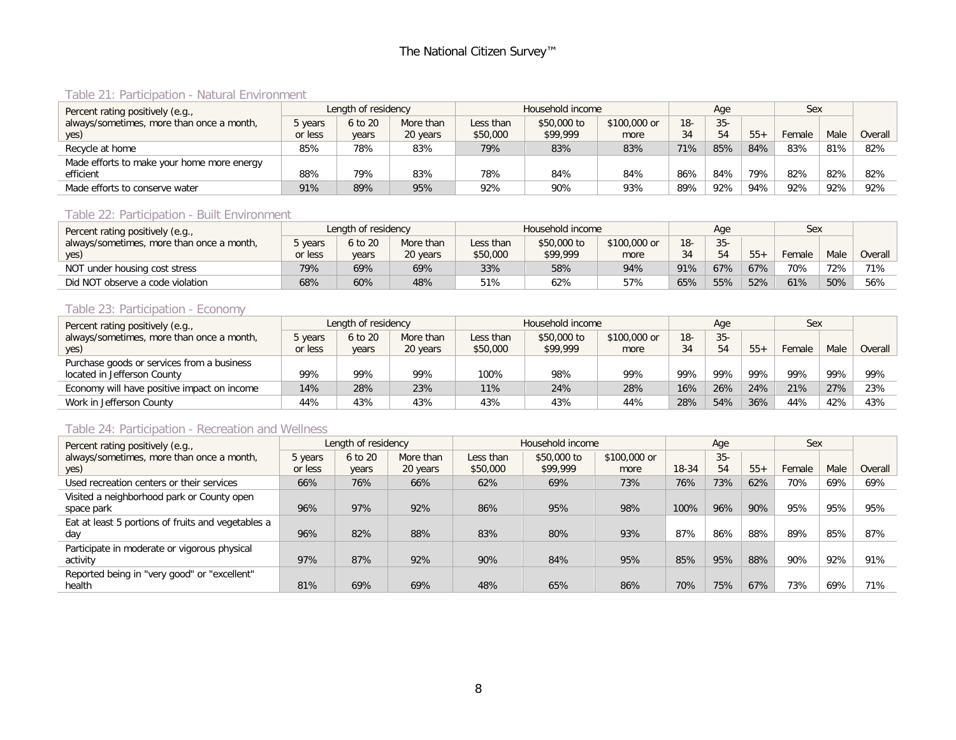## Table 21: Participation - Natural Environment

| Percent rating positively (e.g.,           |         | Length of residency |           |           | Household income |              |       | Aae    |       | Sex    |      |         |
|--------------------------------------------|---------|---------------------|-----------|-----------|------------------|--------------|-------|--------|-------|--------|------|---------|
| always/sometimes, more than once a month,  | 5 years | 6 to 20             | More than | Less than | \$50,000 to      | \$100,000 or | $18-$ | $35 -$ |       |        |      |         |
| yes)                                       | or less | years               | 20 years  | \$50,000  | \$99,999         | more         | 34    | 54     | $55+$ | Female | Male | Overall |
| Recycle at home                            | 85%     | 78%                 | 83%       | 79%       | 83%              | 83%          | 71%   | 85%    | 84%   | 83%    | 81%  | 82%     |
| Made efforts to make your home more energy |         |                     |           |           |                  |              |       |        |       |        |      |         |
| efficient                                  | 88%     | 79%                 | 83%       | 78%       | 84%              | 84%          | 86%   | 84%    | 79%   | 82%    | 82%  | 82%     |
| Made efforts to conserve water             | 91%     | 89%                 | 95%       | 92%       | 90%              | 93%          | 89%   | 92%    | 94%   | 92%    | 92%  | 92%     |

#### Table 22: Participation - Built Environment

| Percent rating positively (e.g.,          |         | Length of residency |           |           | Household income |              |        | Age    |       | Sex    |      |         |
|-------------------------------------------|---------|---------------------|-----------|-----------|------------------|--------------|--------|--------|-------|--------|------|---------|
| always/sometimes, more than once a month, | 5 years | 6 to 20             | More than | Less than | \$50,000 to      | \$100,000 or | $18 -$ | $35 -$ |       |        |      |         |
| yes)                                      | or less | vears               | 20 years  | \$50,000  | \$99,999         | more         | 34     | 54     | $55+$ | Female | Male | Overall |
| NOT under housing cost stress             | 79%     | 69%                 | 69%       | 33%       | 58%              | 94%          | 91%    | 67%    | 67%   | 70%    | 72%  | 71%     |
| Did NOT observe a code violation          | 68%     | 60%                 | 48%       | 51%       | 62%              | 57%          | 65%    | 55%    | 52%   | 61%    | 50%  | 56%     |

#### Table 23: Participation - Economy

| Percent rating positively (e.g.,            |         | Length of residency |           |           | Household income |              |       | Age    |       | Sex    |      |         |
|---------------------------------------------|---------|---------------------|-----------|-----------|------------------|--------------|-------|--------|-------|--------|------|---------|
| always/sometimes, more than once a month,   | 5 years | 6 to 20             | More than | Less than | \$50,000 to      | \$100,000 or | $18-$ | $35 -$ |       |        |      |         |
| yes)                                        | or less | years               | 20 years  | \$50,000  | \$99,999         | more         | 34    | 54     | $55+$ | Female | Male | Overall |
| Purchase goods or services from a business  |         |                     |           |           |                  |              |       |        |       |        |      |         |
| located in Jefferson County                 | 99%     | 99%                 | 99%       | 100%      | 98%              | 99%          | 99%   | 99%    | 99%   | 99%    | 99%  | 99%     |
| Economy will have positive impact on income | 14%     | 28%                 | 23%       | 11%       | 24%              | 28%          | 16%   | 26%    | 24%   | 21%    | 27%  | 23%     |
| Work in Jefferson County                    | 44%     | 43%                 | 43%       | 43%       | 43%              | 44%          | 28%   | 54%    | 36%   | 44%    | 42%  | 43%     |

#### Table 24: Participation - Recreation and Wellness

| Percent rating positively (e.g.,                   | Length of residency |         |           | Household income |             | Age          |       | Sex    |       |        |      |         |
|----------------------------------------------------|---------------------|---------|-----------|------------------|-------------|--------------|-------|--------|-------|--------|------|---------|
| always/sometimes, more than once a month,          | 5 years             | 6 to 20 | More than | Less than        | \$50,000 to | \$100,000 or |       | $35 -$ |       |        |      |         |
| yes)                                               | or less             | years   | 20 years  | \$50,000         | \$99,999    | more         | 18-34 | 54     | $55+$ | Female | Male | Overall |
| Used recreation centers or their services          | 66%                 | 76%     | 66%       | 62%              | 69%         | 73%          | 76%   | 73%    | 62%   | 70%    | 69%  | 69%     |
| Visited a neighborhood park or County open         |                     |         |           |                  |             |              |       |        |       |        |      |         |
| space park                                         | 96%                 | 97%     | 92%       | 86%              | 95%         | 98%          | 100%  | 96%    | 90%   | 95%    | 95%  | 95%     |
| Eat at least 5 portions of fruits and vegetables a |                     |         |           |                  |             |              |       |        |       |        |      |         |
| day                                                | 96%                 | 82%     | 88%       | 83%              | 80%         | 93%          | 87%   | 86%    | 88%   | 89%    | 85%  | 87%     |
| Participate in moderate or vigorous physical       |                     |         |           |                  |             |              |       |        |       |        |      |         |
| activity                                           | 97%                 | 87%     | 92%       | 90%              | 84%         | 95%          | 85%   | 95%    | 88%   | 90%    | 92%  | 91%     |
| Reported being in "very good" or "excellent"       |                     |         |           |                  |             |              |       |        |       |        |      |         |
| health                                             | 81%                 | 69%     | 69%       | 48%              | 65%         | 86%          | 70%   | 75%    | 67%   | 73%    | 69%  | 71%     |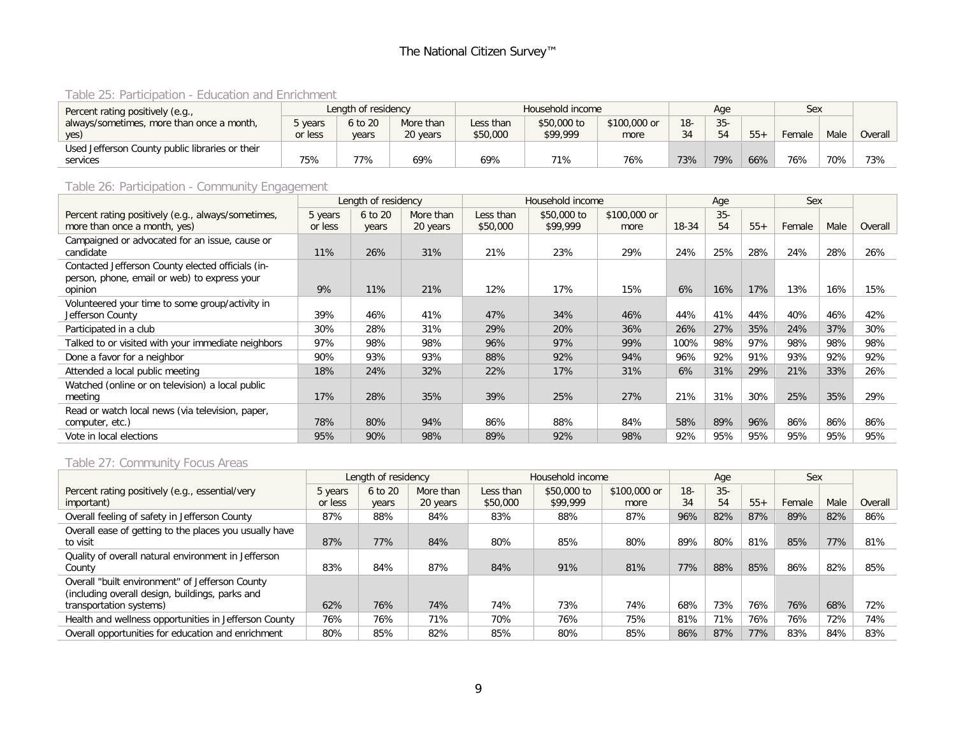## Table 25: Participation - Education and Enrichment

| Percent rating positively (e.g.,                | Length of residency |         |           |           | Household income |              | Age   |        | Sex   |        |      |         |
|-------------------------------------------------|---------------------|---------|-----------|-----------|------------------|--------------|-------|--------|-------|--------|------|---------|
| always/sometimes, more than once a month,       | i years             | 6 to 20 | More than | Less than | \$50,000 to      | \$100,000 or | $18-$ | $35 -$ |       |        |      |         |
| yes)                                            | or less             | vears   | 20 years  | \$50,000  | \$99,999         | more         | 34    | 54     | $55+$ | Female | Male | Overall |
| Used Jefferson County public libraries or their |                     |         |           |           |                  |              |       |        |       |        |      |         |
| services                                        | 75%                 | 77%     | 69%       | 69%       | 71%              | 76%          | 73%   | 79%    | 66%   | 76%    | 70%  | 73%     |

# Table 26: Participation - Community Engagement

|                                                                                                              | Length of residency |                  |                       | Household income      |                         |                      |       | Age         |       | Sex    |      |         |
|--------------------------------------------------------------------------------------------------------------|---------------------|------------------|-----------------------|-----------------------|-------------------------|----------------------|-------|-------------|-------|--------|------|---------|
| Percent rating positively (e.g., always/sometimes,<br>more than once a month, yes)                           | 5 years<br>or less  | 6 to 20<br>years | More than<br>20 years | Less than<br>\$50,000 | \$50,000 to<br>\$99,999 | \$100,000 or<br>more | 18-34 | $35-$<br>54 | $55+$ | Female | Male | Overall |
| Campaigned or advocated for an issue, cause or<br>candidate                                                  | 11%                 | 26%              | 31%                   | 21%                   | 23%                     | 29%                  | 24%   | 25%         | 28%   | 24%    | 28%  | 26%     |
| Contacted Jefferson County elected officials (in-<br>person, phone, email or web) to express your<br>opinion | 9%                  | 11%              | 21%                   | 12%                   | 17%                     | 15%                  | 6%    | 16%         | 17%   | 13%    | 16%  | 15%     |
| Volunteered your time to some group/activity in<br>Jefferson County                                          | 39%                 | 46%              | 41%                   | 47%                   | 34%                     | 46%                  | 44%   | 41%         | 44%   | 40%    | 46%  | 42%     |
| Participated in a club                                                                                       | 30%                 | 28%              | 31%                   | 29%                   | 20%                     | 36%                  | 26%   | 27%         | 35%   | 24%    | 37%  | 30%     |
| Talked to or visited with your immediate neighbors                                                           | 97%                 | 98%              | 98%                   | 96%                   | 97%                     | 99%                  | 100%  | 98%         | 97%   | 98%    | 98%  | 98%     |
| Done a favor for a neighbor                                                                                  | 90%                 | 93%              | 93%                   | 88%                   | 92%                     | 94%                  | 96%   | 92%         | 91%   | 93%    | 92%  | 92%     |
| Attended a local public meeting                                                                              | 18%                 | 24%              | 32%                   | 22%                   | 17%                     | 31%                  | 6%    | 31%         | 29%   | 21%    | 33%  | 26%     |
| Watched (online or on television) a local public<br>meeting                                                  | 17%                 | 28%              | 35%                   | 39%                   | 25%                     | 27%                  | 21%   | 31%         | 30%   | 25%    | 35%  | 29%     |
| Read or watch local news (via television, paper,<br>computer, etc.)                                          | 78%                 | 80%              | 94%                   | 86%                   | 88%                     | 84%                  | 58%   | 89%         | 96%   | 86%    | 86%  | 86%     |
| Vote in local elections                                                                                      | 95%                 | 90%              | 98%                   | 89%                   | 92%                     | 98%                  | 92%   | 95%         | 95%   | 95%    | 95%  | 95%     |

## Table 27: Community Focus Areas

|                                                        | Length of residency |         |           | Household income |             |              |        | Age   |       | Sex    |      |         |
|--------------------------------------------------------|---------------------|---------|-----------|------------------|-------------|--------------|--------|-------|-------|--------|------|---------|
| Percent rating positively (e.g., essential/very        | 5 years             | 6 to 20 | More than | Less than        | \$50,000 to | \$100,000 or | $18 -$ | $35-$ |       |        |      |         |
| important)                                             | or less             | years   | 20 years  | \$50,000         | \$99,999    | more         | 34     | 54    | $55+$ | Female | Male | Overall |
| Overall feeling of safety in Jefferson County          | 87%                 | 88%     | 84%       | 83%              | 88%         | 87%          | 96%    | 82%   | 87%   | 89%    | 82%  | 86%     |
| Overall ease of getting to the places you usually have |                     |         |           |                  |             |              |        |       |       |        |      |         |
| to visit                                               | 87%                 | 77%     | 84%       | 80%              | 85%         | 80%          | 89%    | 80%   | 81%   | 85%    | 77%  | 81%     |
| Quality of overall natural environment in Jefferson    |                     |         |           |                  |             |              |        |       |       |        |      |         |
| County                                                 | 83%                 | 84%     | 87%       | 84%              | 91%         | 81%          | 77%    | 88%   | 85%   | 86%    | 82%  | 85%     |
| Overall "built environment" of Jefferson County        |                     |         |           |                  |             |              |        |       |       |        |      |         |
| (including overall design, buildings, parks and        |                     |         |           |                  |             |              |        |       |       |        |      |         |
| transportation systems)                                | 62%                 | 76%     | 74%       | 74%              | 73%         | 74%          | 68%    | 73%   | 76%   | 76%    | 68%  | 72%     |
| Health and wellness opportunities in Jefferson County  | 76%                 | 76%     | 71%       | 70%              | 76%         | 75%          | 81%    | 71%   | 76%   | 76%    | 72%  | 74%     |
| Overall opportunities for education and enrichment     | 80%                 | 85%     | 82%       | 85%              | 80%         | 85%          | 86%    | 87%   | 77%   | 83%    | 84%  | 83%     |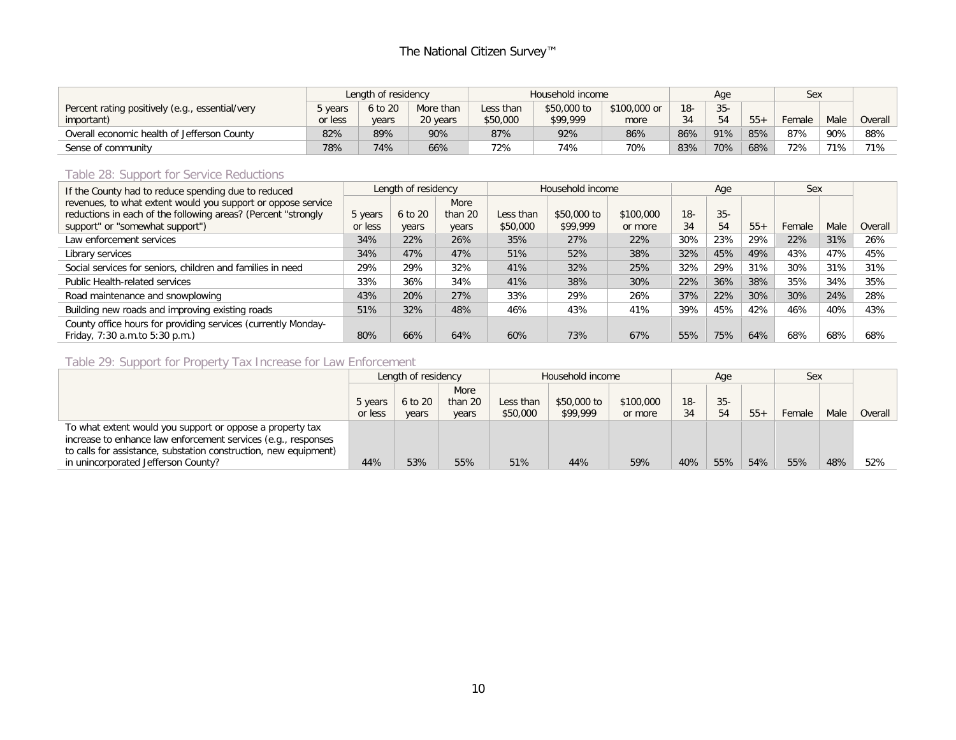|                                                 | Length of residency |         |           | Household income |             |              |       | Age    |       | Sex    |      |         |
|-------------------------------------------------|---------------------|---------|-----------|------------------|-------------|--------------|-------|--------|-------|--------|------|---------|
| Percent rating positively (e.g., essential/very | 5 years             | 6 to 20 | More than | Less than        | \$50,000 to | \$100,000 or | $18-$ | $35 -$ |       |        |      |         |
| important)                                      | or less             | years   | 20 years  | \$50,000         | \$99,999    | more         | 34    | 54     | $55+$ | Female | Male | Overall |
| Overall economic health of Jefferson County     | 82%                 | 89%     | 90%       | 87%              | 92%         | 86%          | 86%   | 91%    | 85%   | 87%    | 90%  | 88%     |
| Sense of community                              | 78%                 | 74%     | 66%       | 72%              | 74%         | 70%          | 83%   | 70%    | 68%   | 72%    | 71%  | 71%     |

#### Table 28: Support for Service Reductions

| If the County had to reduce spending due to reduced                                             | Length of residency |         |         | Household income |             |           |        | Age   |       | Sex    |      |         |
|-------------------------------------------------------------------------------------------------|---------------------|---------|---------|------------------|-------------|-----------|--------|-------|-------|--------|------|---------|
| revenues, to what extent would you support or oppose service                                    |                     |         | More    |                  |             |           |        |       |       |        |      |         |
| reductions in each of the following areas? (Percent "strongly                                   | 5 years             | 6 to 20 | than 20 | Less than        | \$50,000 to | \$100,000 | $18 -$ | $35-$ |       |        |      |         |
| support" or "somewhat support")                                                                 | or less             | years   | years   | \$50,000         | \$99,999    | or more   | 34     | 54    | $55+$ | Female | Male | Overall |
| Law enforcement services                                                                        | 34%                 | 22%     | 26%     | 35%              | 27%         | 22%       | 30%    | 23%   | 29%   | 22%    | 31%  | 26%     |
| Library services                                                                                | 34%                 | 47%     | 47%     | 51%              | 52%         | 38%       | 32%    | 45%   | 49%   | 43%    | 47%  | 45%     |
| Social services for seniors, children and families in need                                      | 29%                 | 29%     | 32%     | 41%              | 32%         | 25%       | 32%    | 29%   | 31%   | 30%    | 31%  | 31%     |
| <b>Public Health-related services</b>                                                           | 33%                 | 36%     | 34%     | 41%              | 38%         | 30%       | 22%    | 36%   | 38%   | 35%    | 34%  | 35%     |
| Road maintenance and snowplowing                                                                | 43%                 | 20%     | 27%     | 33%              | 29%         | 26%       | 37%    | 22%   | 30%   | 30%    | 24%  | 28%     |
| Building new roads and improving existing roads                                                 | 51%                 | 32%     | 48%     | 46%              | 43%         | 41%       | 39%    | 45%   | 42%   | 46%    | 40%  | 43%     |
| County office hours for providing services (currently Monday-<br>Friday, 7:30 a.m.to 5:30 p.m.) | 80%                 | 66%     | 64%     | 60%              | 73%         | 67%       | 55%    | 75%   | 64%   | 68%    | 68%  | 68%     |

#### Table 29: Support for Property Tax Increase for Law Enforcement

|                                                                  | Length of residency |         |         | Household income |             | Age       |       | Sex   |       |        |      |         |
|------------------------------------------------------------------|---------------------|---------|---------|------------------|-------------|-----------|-------|-------|-------|--------|------|---------|
|                                                                  |                     |         | More    |                  |             |           |       |       |       |        |      |         |
|                                                                  | 5 years             | 6 to 20 | than 20 | Less than        | \$50,000 to | \$100,000 | $18-$ | $35-$ |       |        |      |         |
|                                                                  | or less             | years   | years   | \$50,000         | \$99,999    | or more   | 34    | 54    | $55+$ | Female | Male | Overall |
| To what extent would you support or oppose a property tax        |                     |         |         |                  |             |           |       |       |       |        |      |         |
| increase to enhance law enforcement services (e.g., responses    |                     |         |         |                  |             |           |       |       |       |        |      |         |
| to calls for assistance, substation construction, new equipment) |                     |         |         |                  |             |           |       |       |       |        |      |         |
| in unincorporated Jefferson County?                              | 44%                 | 53%     | 55%     | 51%              | 44%         | 59%       | 40%   | 55%   | 54%   | 55%    | 48%  | 52%     |